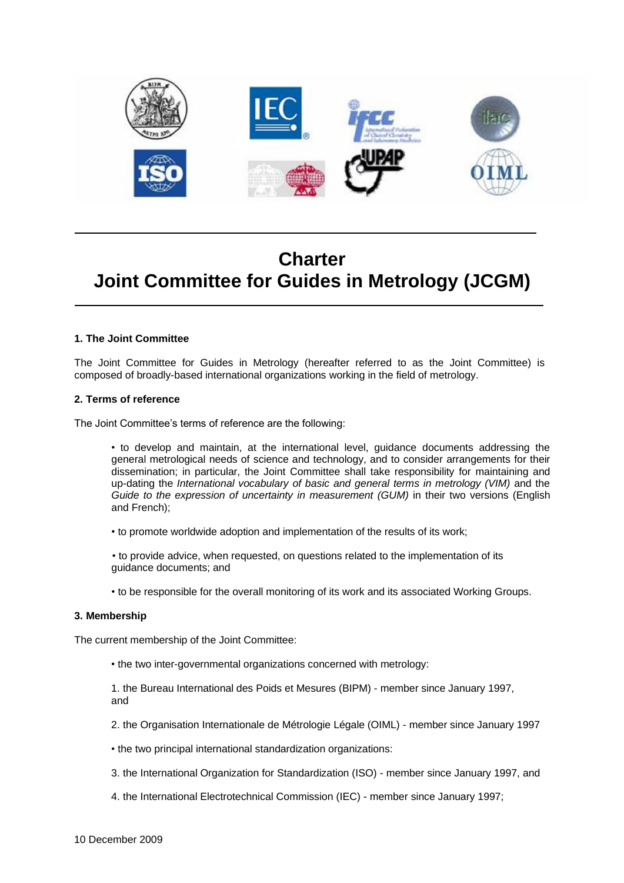

# **Charter Joint Committee for Guides in Metrology (JCGM)**

## **1. The Joint Committee**

The Joint Committee for Guides in Metrology (hereafter referred to as the Joint Committee) is composed of broadly-based international organizations working in the field of metrology.

## **2. Terms of reference**

The Joint Committee's terms of reference are the following:

• to develop and maintain, at the international level, guidance documents addressing the general metrological needs of science and technology, and to consider arrangements for their dissemination; in particular, the Joint Committee shall take responsibility for maintaining and up-dating the *International vocabulary of basic and general terms in metrology (VIM)* and the *Guide to the expression of uncertainty in measurement (GUM)* in their two versions (English and French);

• to promote worldwide adoption and implementation of the results of its work;

• to provide advice, when requested, on questions related to the implementation of its guidance documents; and

• to be responsible for the overall monitoring of its work and its associated Working Groups.

## **3. Membership**

The current membership of the Joint Committee:

• the two inter-governmental organizations concerned with metrology:

1. the Bureau International des Poids et Mesures (BIPM) - member since January 1997, and

- 2. the Organisation Internationale de Métrologie Légale (OIML) member since January 1997
- the two principal international standardization organizations:
- 3. the International Organization for Standardization (ISO) member since January 1997, and
- 4. the International Electrotechnical Commission (IEC) member since January 1997;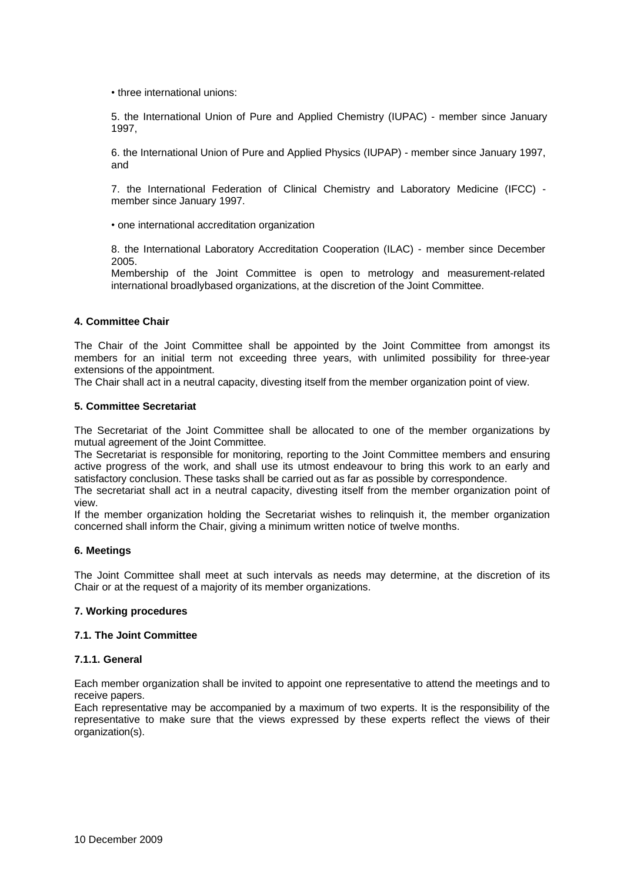• three international unions:

5. the International Union of Pure and Applied Chemistry (IUPAC) - member since January 1997,

6. the International Union of Pure and Applied Physics (IUPAP) - member since January 1997, and

7. the International Federation of Clinical Chemistry and Laboratory Medicine (IFCC) member since January 1997.

• one international accreditation organization

8. the International Laboratory Accreditation Cooperation (ILAC) - member since December 2005.

Membership of the Joint Committee is open to metrology and measurement-related international broadlybased organizations, at the discretion of the Joint Committee.

# **4. Committee Chair**

The Chair of the Joint Committee shall be appointed by the Joint Committee from amongst its members for an initial term not exceeding three years, with unlimited possibility for three-year extensions of the appointment.

The Chair shall act in a neutral capacity, divesting itself from the member organization point of view.

## **5. Committee Secretariat**

The Secretariat of the Joint Committee shall be allocated to one of the member organizations by mutual agreement of the Joint Committee.

The Secretariat is responsible for monitoring, reporting to the Joint Committee members and ensuring active progress of the work, and shall use its utmost endeavour to bring this work to an early and satisfactory conclusion. These tasks shall be carried out as far as possible by correspondence.

The secretariat shall act in a neutral capacity, divesting itself from the member organization point of view.

If the member organization holding the Secretariat wishes to relinquish it, the member organization concerned shall inform the Chair, giving a minimum written notice of twelve months.

## **6. Meetings**

The Joint Committee shall meet at such intervals as needs may determine, at the discretion of its Chair or at the request of a majority of its member organizations.

# **7. Working procedures**

## **7.1. The Joint Committee**

## **7.1.1. General**

Each member organization shall be invited to appoint one representative to attend the meetings and to receive papers.

Each representative may be accompanied by a maximum of two experts. It is the responsibility of the representative to make sure that the views expressed by these experts reflect the views of their organization(s).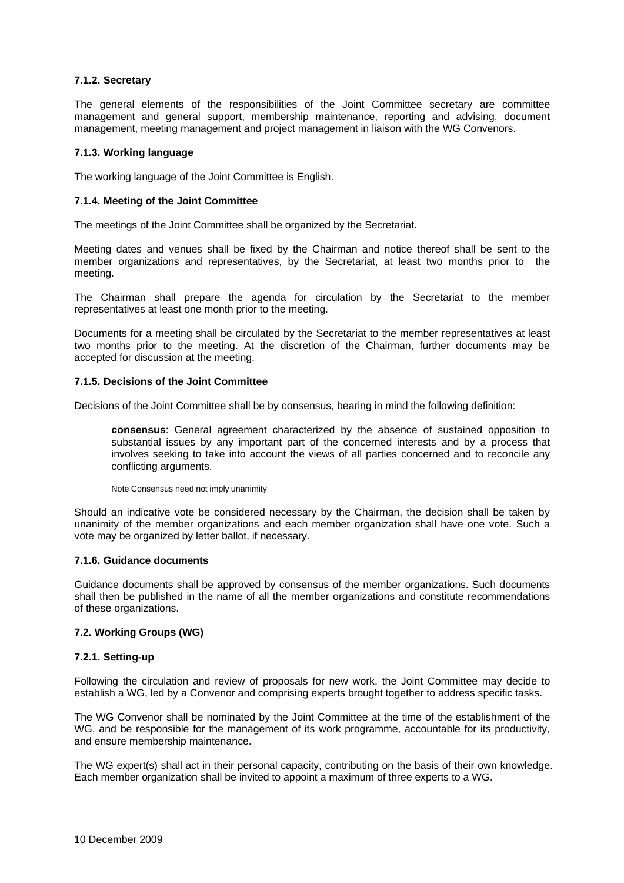# **7.1.2. Secretary**

The general elements of the responsibilities of the Joint Committee secretary are committee management and general support, membership maintenance, reporting and advising, document management, meeting management and project management in liaison with the WG Convenors.

## **7.1.3. Working language**

The working language of the Joint Committee is English.

# **7.1.4. Meeting of the Joint Committee**

The meetings of the Joint Committee shall be organized by the Secretariat.

Meeting dates and venues shall be fixed by the Chairman and notice thereof shall be sent to the member organizations and representatives, by the Secretariat, at least two months prior to the meeting.

The Chairman shall prepare the agenda for circulation by the Secretariat to the member representatives at least one month prior to the meeting.

Documents for a meeting shall be circulated by the Secretariat to the member representatives at least two months prior to the meeting. At the discretion of the Chairman, further documents may be accepted for discussion at the meeting.

# **7.1.5. Decisions of the Joint Committee**

Decisions of the Joint Committee shall be by consensus, bearing in mind the following definition:

**consensus**: General agreement characterized by the absence of sustained opposition to substantial issues by any important part of the concerned interests and by a process that involves seeking to take into account the views of all parties concerned and to reconcile any conflicting arguments.

Note Consensus need not imply unanimity

Should an indicative vote be considered necessary by the Chairman, the decision shall be taken by unanimity of the member organizations and each member organization shall have one vote. Such a vote may be organized by letter ballot, if necessary.

## **7.1.6. Guidance documents**

Guidance documents shall be approved by consensus of the member organizations. Such documents shall then be published in the name of all the member organizations and constitute recommendations of these organizations.

# **7.2. Working Groups (WG)**

## **7.2.1. Setting-up**

Following the circulation and review of proposals for new work, the Joint Committee may decide to establish a WG, led by a Convenor and comprising experts brought together to address specific tasks.

The WG Convenor shall be nominated by the Joint Committee at the time of the establishment of the WG, and be responsible for the management of its work programme, accountable for its productivity, and ensure membership maintenance.

The WG expert(s) shall act in their personal capacity, contributing on the basis of their own knowledge. Each member organization shall be invited to appoint a maximum of three experts to a WG.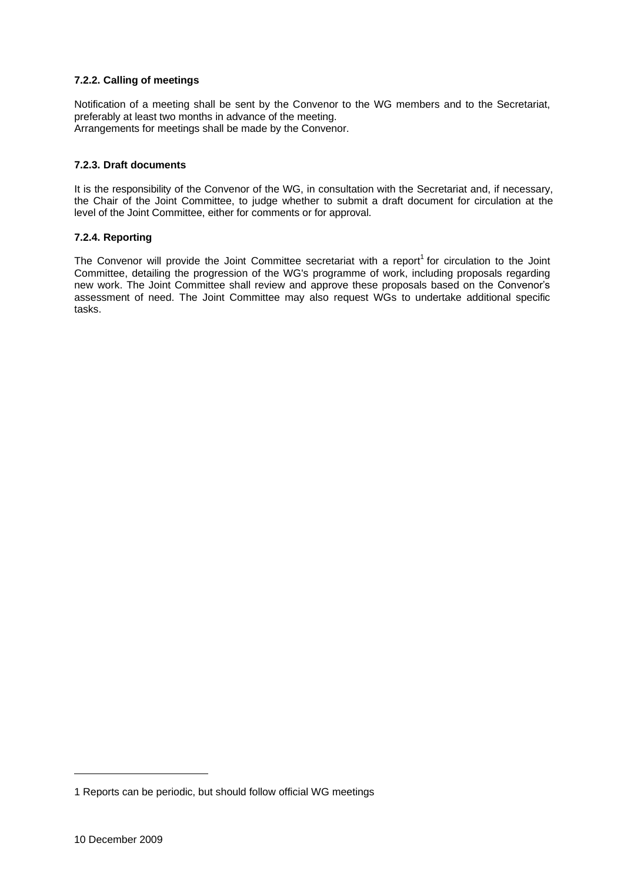# **7.2.2. Calling of meetings**

Notification of a meeting shall be sent by the Convenor to the WG members and to the Secretariat, preferably at least two months in advance of the meeting. Arrangements for meetings shall be made by the Convenor.

# **7.2.3. Draft documents**

It is the responsibility of the Convenor of the WG, in consultation with the Secretariat and, if necessary, the Chair of the Joint Committee, to judge whether to submit a draft document for circulation at the level of the Joint Committee, either for comments or for approval.

# **7.2.4. Reporting**

The Convenor will provide the Joint Committee secretariat with a report<sup>1</sup> for circulation to the Joint Committee, detailing the progression of the WG's programme of work, including proposals regarding new work. The Joint Committee shall review and approve these proposals based on the Convenor's assessment of need. The Joint Committee may also request WGs to undertake additional specific tasks.

<sup>1</sup> Reports can be periodic, but should follow official WG meetings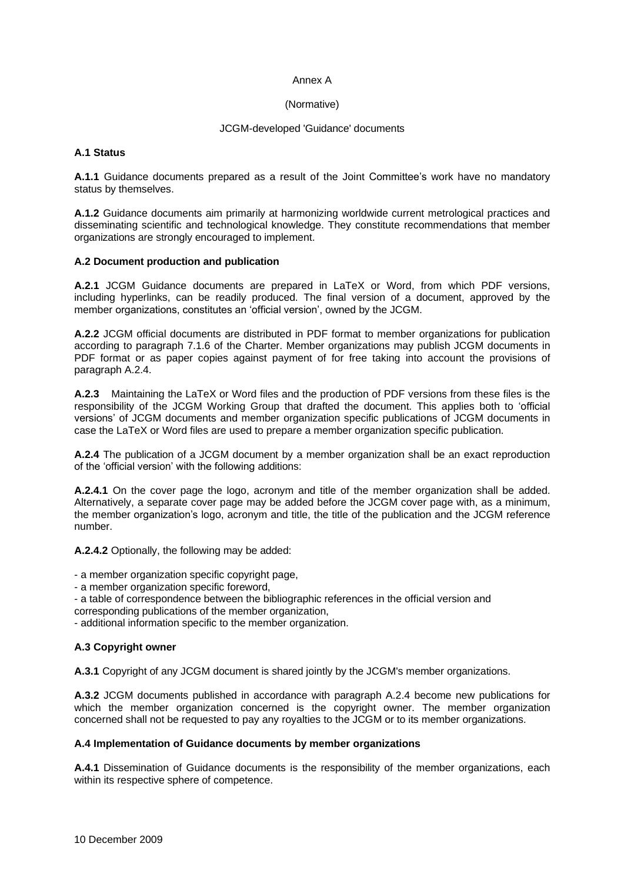## Annex A

# (Normative)

# JCGM-developed 'Guidance' documents

# **A.1 Status**

**A.1.1** Guidance documents prepared as a result of the Joint Committee's work have no mandatory status by themselves.

**A.1.2** Guidance documents aim primarily at harmonizing worldwide current metrological practices and disseminating scientific and technological knowledge. They constitute recommendations that member organizations are strongly encouraged to implement.

# **A.2 Document production and publication**

**A.2.1** JCGM Guidance documents are prepared in LaTeX or Word, from which PDF versions, including hyperlinks, can be readily produced. The final version of a document, approved by the member organizations, constitutes an 'official version', owned by the JCGM.

**A.2.2** JCGM official documents are distributed in PDF format to member organizations for publication according to paragraph 7.1.6 of the Charter. Member organizations may publish JCGM documents in PDF format or as paper copies against payment of for free taking into account the provisions of paragraph A.2.4.

**A.2.3** Maintaining the LaTeX or Word files and the production of PDF versions from these files is the responsibility of the JCGM Working Group that drafted the document. This applies both to 'official versions' of JCGM documents and member organization specific publications of JCGM documents in case the LaTeX or Word files are used to prepare a member organization specific publication.

**A.2.4** The publication of a JCGM document by a member organization shall be an exact reproduction of the 'official version' with the following additions:

**A.2.4.1** On the cover page the logo, acronym and title of the member organization shall be added. Alternatively, a separate cover page may be added before the JCGM cover page with, as a minimum, the member organization's logo, acronym and title, the title of the publication and the JCGM reference number.

**A.2.4.2** Optionally, the following may be added:

- a member organization specific copyright page,

- a member organization specific foreword,
- a table of correspondence between the bibliographic references in the official version and
- corresponding publications of the member organization,

- additional information specific to the member organization.

# **A.3 Copyright owner**

**A.3.1** Copyright of any JCGM document is shared jointly by the JCGM's member organizations.

**A.3.2** JCGM documents published in accordance with paragraph A.2.4 become new publications for which the member organization concerned is the copyright owner. The member organization concerned shall not be requested to pay any royalties to the JCGM or to its member organizations.

# **A.4 Implementation of Guidance documents by member organizations**

**A.4.1** Dissemination of Guidance documents is the responsibility of the member organizations, each within its respective sphere of competence.